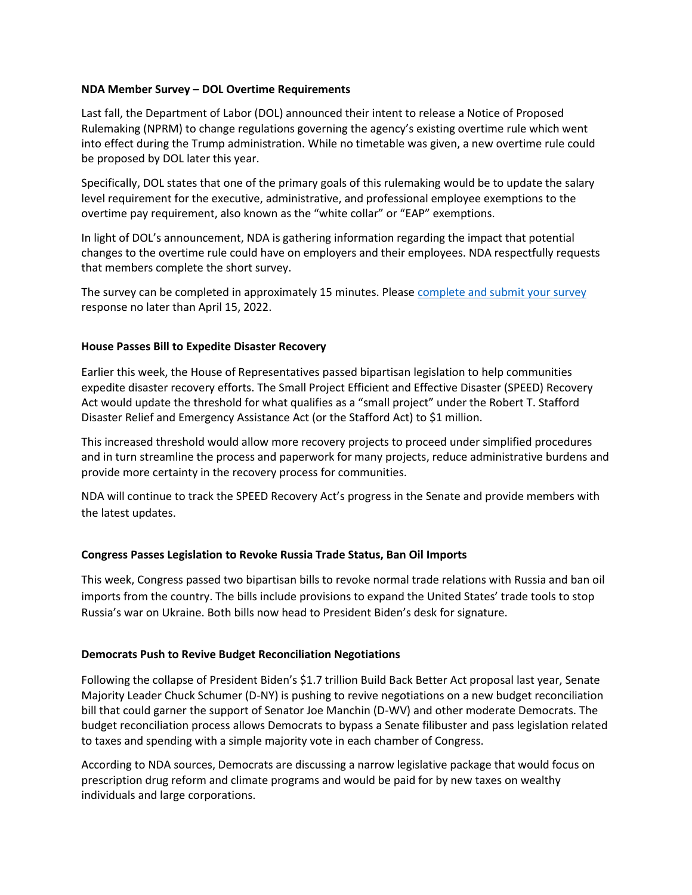### **NDA Member Survey – DOL Overtime Requirements**

Last fall, the Department of Labor (DOL) announced their intent to release a Notice of Proposed Rulemaking (NPRM) to change regulations governing the agency's existing overtime rule which went into effect during the Trump administration. While no timetable was given, a new overtime rule could be proposed by DOL later this year.

Specifically, DOL states that one of the primary goals of this rulemaking would be to update the salary level requirement for the executive, administrative, and professional employee exemptions to the overtime pay requirement, also known as the "white collar" or "EAP" exemptions.

In light of DOL's announcement, NDA is gathering information regarding the impact that potential changes to the overtime rule could have on employers and their employees. NDA respectfully requests that members complete the short survey.

The survey can be completed in approximately 15 minutes. Pleas[e complete and submit your survey](https://docs.google.com/forms/d/e/1FAIpQLSdTGDTMw3VShxH5mCW8FmEcRJx_rTDTE_1P6bC-XBkGsRvzzA/viewform) response no later than April 15, 2022.

#### **House Passes Bill to Expedite Disaster Recovery**

Earlier this week, the House of Representatives passed bipartisan legislation to help communities expedite disaster recovery efforts. The Small Project Efficient and Effective Disaster (SPEED) Recovery Act would update the threshold for what qualifies as a "small project" under the Robert T. Stafford Disaster Relief and Emergency Assistance Act (or the Stafford Act) to \$1 million.

This increased threshold would allow more recovery projects to proceed under simplified procedures and in turn streamline the process and paperwork for many projects, reduce administrative burdens and provide more certainty in the recovery process for communities.

NDA will continue to track the SPEED Recovery Act's progress in the Senate and provide members with the latest updates.

# **Congress Passes Legislation to Revoke Russia Trade Status, Ban Oil Imports**

This week, Congress passed two bipartisan bills to revoke normal trade relations with Russia and ban oil imports from the country. The bills include provisions to expand the United States' trade tools to stop Russia's war on Ukraine. Both bills now head to President Biden's desk for signature.

#### **Democrats Push to Revive Budget Reconciliation Negotiations**

Following the collapse of President Biden's \$1.7 trillion Build Back Better Act proposal last year, Senate Majority Leader Chuck Schumer (D-NY) is pushing to revive negotiations on a new budget reconciliation bill that could garner the support of Senator Joe Manchin (D-WV) and other moderate Democrats. The budget reconciliation process allows Democrats to bypass a Senate filibuster and pass legislation related to taxes and spending with a simple majority vote in each chamber of Congress.

According to NDA sources, Democrats are discussing a narrow legislative package that would focus on prescription drug reform and climate programs and would be paid for by new taxes on wealthy individuals and large corporations.